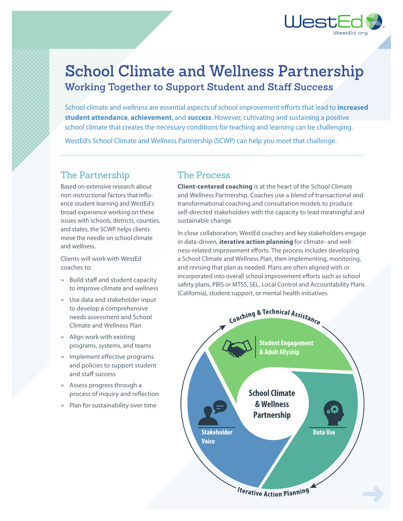

# **School Climate and Wellness Partnership Working Together to Support Student and Staff Success**

School climate and wellness are essential aspects of school improvement efforts that lead to **increased student attendance**, **achievement**, and **success**. However, cultivating and sustaining a positive school climate that creates the necessary conditions for teaching and learning can be challenging.

WestEd's School Climate and Wellness Partnership (SCWP) can help you meet that challenge.

# The Partnership

Based on extensive research about non-instructional factors that influence student learning and WestEd's broad experience working on these issues with schools, districts, counties, and states, the SCWP helps clients move the needle on school climate and wellness.

Clients will work with WestEd coaches to:

- » Build staff and student capacity to improve climate and wellness
- » Use data and stakeholder input to develop a comprehensive needs assessment and School Climate and Wellness Plan
- » Align work with existing programs, systems, and teams
- » Implement effective programs and policies to support student and staff success
- » Assess progress through a process of inquiry and reflection
- » Plan for sustainability over time

### The Process

**Client-centered coaching** is at the heart of the School Climate and Wellness Partnership. Coaches use a blend of transactional and transformational coaching and consultation models to produce self-directed stakeholders with the capacity to lead meaningful and sustainable change.

In close collaboration, WestEd coaches and key stakeholders engage in data-driven, **iterative action planning** for climate- and wellness-related improvement efforts. The process includes developing a School Climate and Wellness Plan, then implementing, monitoring, and revising that plan as needed. Plans are often aligned with or incorporated into overall school improvement efforts such as school safety plans, PBIS or MTSS, SEL, Local Control and Accountability Plans (California), student support, or mental health initiatives.